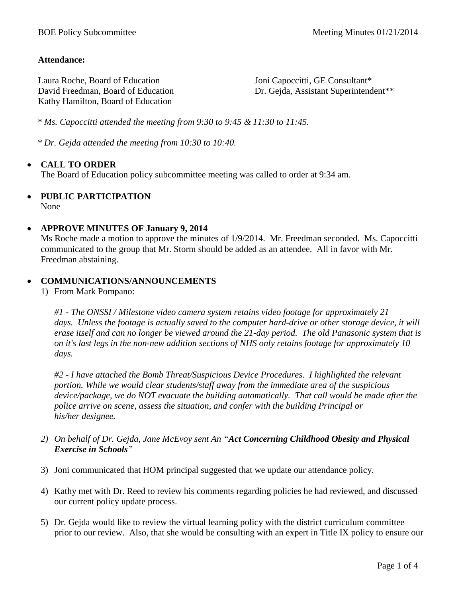#### **Attendance:**

Laura Roche, Board of Education David Freedman, Board of Education Kathy Hamilton, Board of Education

Joni Capoccitti, GE Consultant\* Dr. Gejda, Assistant Superintendent\*\*

*\* Ms. Capoccitti attended the meeting from 9:30 to 9:45 & 11:30 to 11:45.*

*\* Dr. Gejda attended the meeting from 10:30 to 10:40.*

### • **CALL TO ORDER**

The Board of Education policy subcommittee meeting was called to order at 9:34 am.

## • **PUBLIC PARTICIPATION**

None

#### • **APPROVE MINUTES OF January 9, 2014**

Ms Roche made a motion to approve the minutes of 1/9/2014. Mr. Freedman seconded. Ms. Capoccitti communicated to the group that Mr. Storm should be added as an attendee. All in favor with Mr. Freedman abstaining.

#### • **COMMUNICATIONS/ANNOUNCEMENTS**

1) From Mark Pompano:

*#1 - The ONSSI / Milestone video camera system retains video footage for approximately 21 days. Unless the footage is actually saved to the computer hard-drive or other storage device, it will erase itself and can no longer be viewed around the 21-day period. The old Panasonic system that is on it's last legs in the non-new addition sections of NHS only retains footage for approximately 10 days.* 

*#2 - I have attached the Bomb Threat/Suspicious Device Procedures. I highlighted the relevant portion. While we would clear students/staff away from the immediate area of the suspicious device/package, we do NOT evacuate the building automatically. That call would be made after the police arrive on scene, assess the situation, and confer with the building Principal or his/her designee.* 

- *2) On behalf of Dr. Gejda, Jane McEvoy sent An "Act Concerning Childhood Obesity and Physical Exercise in Schools"*
- 3) Joni communicated that HOM principal suggested that we update our attendance policy.
- 4) Kathy met with Dr. Reed to review his comments regarding policies he had reviewed, and discussed our current policy update process.
- 5) Dr. Gejda would like to review the virtual learning policy with the district curriculum committee prior to our review. Also, that she would be consulting with an expert in Title IX policy to ensure our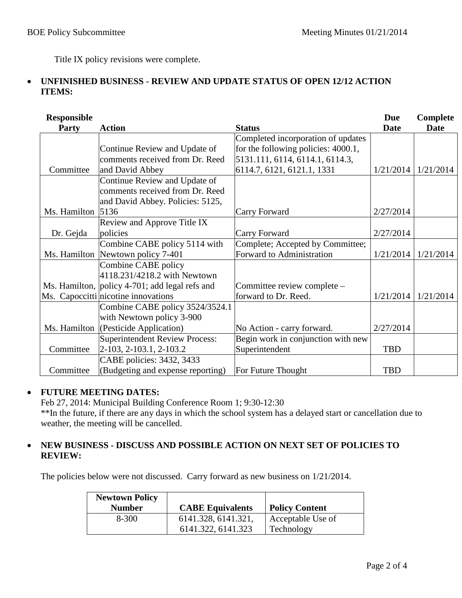Title IX policy revisions were complete.

### • **UNFINISHED BUSINESS - REVIEW AND UPDATE STATUS OF OPEN 12/12 ACTION ITEMS:**

| <b>Responsible</b> |                                                |                                     | <b>Due</b> | <b>Complete</b> |
|--------------------|------------------------------------------------|-------------------------------------|------------|-----------------|
| Party              | <b>Action</b>                                  | <b>Status</b>                       | Date       | <b>Date</b>     |
|                    |                                                | Completed incorporation of updates  |            |                 |
|                    | Continue Review and Update of                  | for the following policies: 4000.1, |            |                 |
|                    | comments received from Dr. Reed                | 5131.111, 6114, 6114.1, 6114.3,     |            |                 |
| Committee          | and David Abbey                                | 6114.7, 6121, 6121.1, 1331          | 1/21/2014  | 1/21/2014       |
|                    | Continue Review and Update of                  |                                     |            |                 |
|                    | comments received from Dr. Reed                |                                     |            |                 |
|                    | and David Abbey. Policies: 5125,               |                                     |            |                 |
| Ms. Hamilton       | 5136                                           | Carry Forward                       | 2/27/2014  |                 |
|                    | Review and Approve Title IX                    |                                     |            |                 |
| Dr. Gejda          | policies                                       | Carry Forward                       | 2/27/2014  |                 |
|                    | Combine CABE policy 5114 with                  | Complete; Accepted by Committee;    |            |                 |
|                    | Ms. Hamilton Newtown policy 7-401              | Forward to Administration           | 1/21/2014  | 1/21/2014       |
|                    | Combine CABE policy                            |                                     |            |                 |
|                    | 4118.231/4218.2 with Newtown                   |                                     |            |                 |
|                    | Ms. Hamilton, policy 4-701; add legal refs and | Committee review complete -         |            |                 |
|                    | Ms. Capoccitti nicotine innovations            | forward to Dr. Reed.                | 1/21/2014  | 1/21/2014       |
|                    | Combine CABE policy 3524/3524.1                |                                     |            |                 |
|                    | with Newtown policy 3-900                      |                                     |            |                 |
|                    | Ms. Hamilton  (Pesticide Application)          | No Action - carry forward.          | 2/27/2014  |                 |
|                    | <b>Superintendent Review Process:</b>          | Begin work in conjunction with new  |            |                 |
| Committee          | 2-103, 2-103.1, 2-103.2                        | Superintendent                      | <b>TBD</b> |                 |
|                    | CABE policies: 3432, 3433                      |                                     |            |                 |
| Committee          | (Budgeting and expense reporting)              | For Future Thought                  | <b>TBD</b> |                 |

### • **FUTURE MEETING DATES:**

Feb 27, 2014: Municipal Building Conference Room 1; 9:30-12:30 \*\*In the future, if there are any days in which the school system has a delayed start or cancellation due to weather, the meeting will be cancelled.

#### • **NEW BUSINESS - DISCUSS AND POSSIBLE ACTION ON NEXT SET OF POLICIES TO REVIEW:**

The policies below were not discussed. Carry forward as new business on 1/21/2014.

| <b>Newtown Policy</b><br><b>Number</b> | <b>CABE Equivalents</b>                   | <b>Policy Content</b>           |
|----------------------------------------|-------------------------------------------|---------------------------------|
| 8-300                                  | 6141.328, 6141.321,<br>6141.322, 6141.323 | Acceptable Use of<br>Technology |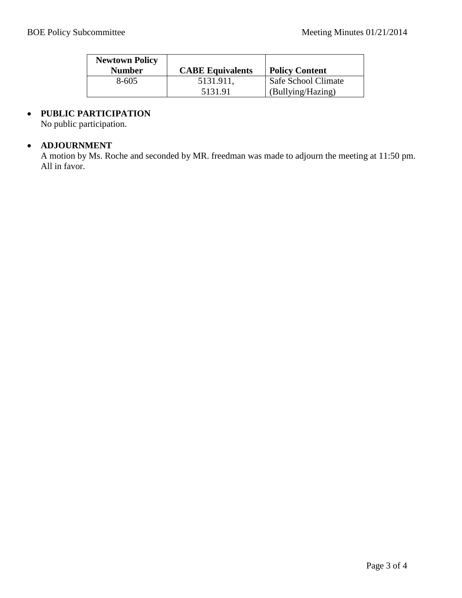| <b>Newtown Policy</b><br><b>Number</b> | <b>CABE Equivalents</b> | <b>Policy Content</b> |
|----------------------------------------|-------------------------|-----------------------|
| 8-605                                  | 5131.911.               | Safe School Climate   |
|                                        | 5131.91                 | (Bullying/Hazing)     |

# • **PUBLIC PARTICIPATION**

No public participation.

## • **ADJOURNMENT**

A motion by Ms. Roche and seconded by MR. freedman was made to adjourn the meeting at 11:50 pm. All in favor.